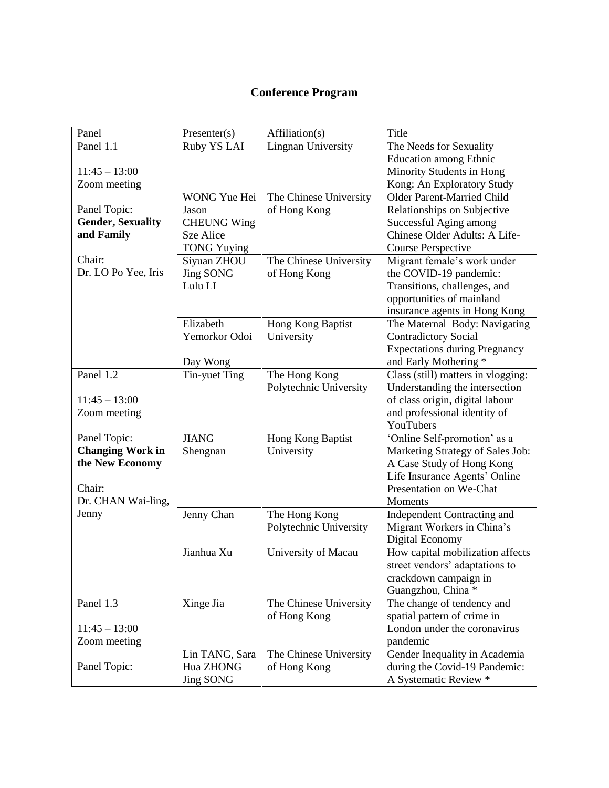## **Conference Program**

| Panel                    | Presenter(s)        | Affiliation(s)            | Title                                |
|--------------------------|---------------------|---------------------------|--------------------------------------|
| Panel 1.1                | Ruby YS LAI         | <b>Lingnan University</b> | The Needs for Sexuality              |
|                          |                     |                           | <b>Education among Ethnic</b>        |
| $11:45 - 13:00$          |                     |                           | Minority Students in Hong            |
| Zoom meeting             |                     |                           | Kong: An Exploratory Study           |
|                          | <b>WONG Yue Hei</b> | The Chinese University    | <b>Older Parent-Married Child</b>    |
| Panel Topic:             | Jason               | of Hong Kong              | Relationships on Subjective          |
| <b>Gender, Sexuality</b> | <b>CHEUNG Wing</b>  |                           | Successful Aging among               |
| and Family               | Sze Alice           |                           | Chinese Older Adults: A Life-        |
|                          | <b>TONG Yuying</b>  |                           | <b>Course Perspective</b>            |
| Chair:                   | Siyuan ZHOU         | The Chinese University    | Migrant female's work under          |
| Dr. LO Po Yee, Iris      | <b>Jing SONG</b>    | of Hong Kong              | the COVID-19 pandemic:               |
|                          | Lulu LI             |                           | Transitions, challenges, and         |
|                          |                     |                           | opportunities of mainland            |
|                          |                     |                           | insurance agents in Hong Kong        |
|                          | Elizabeth           | Hong Kong Baptist         | The Maternal Body: Navigating        |
|                          | Yemorkor Odoi       | University                | <b>Contradictory Social</b>          |
|                          |                     |                           | <b>Expectations during Pregnancy</b> |
|                          | Day Wong            |                           | and Early Mothering *                |
| Panel 1.2                | Tin-yuet Ting       | The Hong Kong             | Class (still) matters in vlogging:   |
|                          |                     | Polytechnic University    | Understanding the intersection       |
| $11:45 - 13:00$          |                     |                           | of class origin, digital labour      |
| Zoom meeting             |                     |                           | and professional identity of         |
|                          |                     |                           | YouTubers                            |
| Panel Topic:             | <b>JIANG</b>        | Hong Kong Baptist         | 'Online Self-promotion' as a         |
| <b>Changing Work in</b>  | Shengnan            | University                | Marketing Strategy of Sales Job:     |
| the New Economy          |                     |                           | A Case Study of Hong Kong            |
|                          |                     |                           | Life Insurance Agents' Online        |
| Chair:                   |                     |                           | Presentation on We-Chat              |
| Dr. CHAN Wai-ling,       |                     |                           | Moments                              |
| Jenny                    | Jenny Chan          | The Hong Kong             | Independent Contracting and          |
|                          |                     | Polytechnic University    | Migrant Workers in China's           |
|                          |                     |                           | Digital Economy                      |
|                          | Jianhua Xu          | University of Macau       | How capital mobilization affects     |
|                          |                     |                           | street vendors' adaptations to       |
|                          |                     |                           | crackdown campaign in                |
|                          |                     |                           | Guangzhou, China *                   |
| Panel 1.3                | Xinge Jia           | The Chinese University    | The change of tendency and           |
|                          |                     | of Hong Kong              | spatial pattern of crime in          |
| $11:45 - 13:00$          |                     |                           | London under the coronavirus         |
| Zoom meeting             |                     |                           | pandemic                             |
|                          | Lin TANG, Sara      | The Chinese University    | Gender Inequality in Academia        |
| Panel Topic:             | Hua ZHONG           | of Hong Kong              | during the Covid-19 Pandemic:        |
|                          | <b>Jing SONG</b>    |                           | A Systematic Review *                |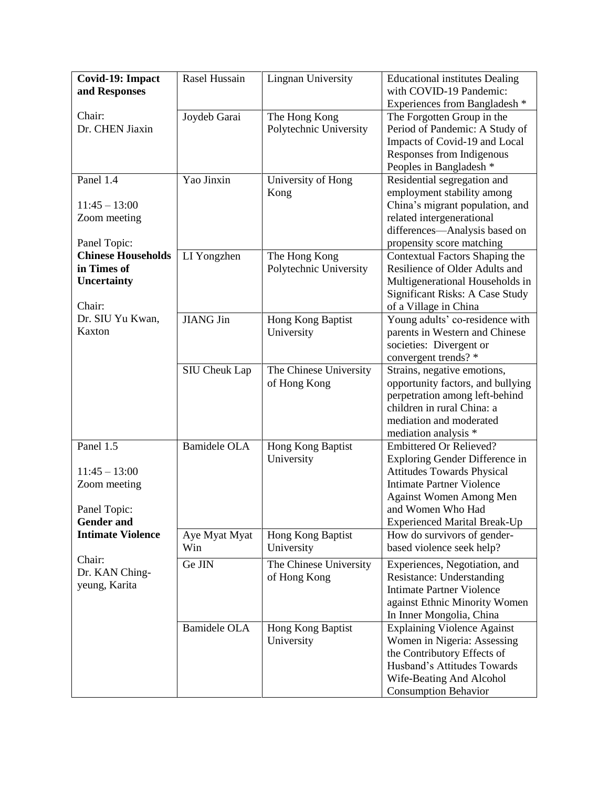| Covid-19: Impact<br>and Responses                                                 | Rasel Hussain        | <b>Lingnan University</b>               | <b>Educational institutes Dealing</b><br>with COVID-19 Pandemic:<br>Experiences from Bangladesh *                                                                                                                                |
|-----------------------------------------------------------------------------------|----------------------|-----------------------------------------|----------------------------------------------------------------------------------------------------------------------------------------------------------------------------------------------------------------------------------|
| Chair:<br>Dr. CHEN Jiaxin                                                         | Joydeb Garai         | The Hong Kong<br>Polytechnic University | The Forgotten Group in the<br>Period of Pandemic: A Study of<br>Impacts of Covid-19 and Local<br>Responses from Indigenous<br>Peoples in Bangladesh *                                                                            |
| Panel 1.4<br>$11:45 - 13:00$<br>Zoom meeting<br>Panel Topic:                      | Yao Jinxin           | University of Hong<br>Kong              | Residential segregation and<br>employment stability among<br>China's migrant population, and<br>related intergenerational<br>differences-Analysis based on<br>propensity score matching                                          |
| <b>Chinese Households</b><br>in Times of<br><b>Uncertainty</b><br>Chair:          | LI Yongzhen          | The Hong Kong<br>Polytechnic University | Contextual Factors Shaping the<br>Resilience of Older Adults and<br>Multigenerational Households in<br><b>Significant Risks: A Case Study</b><br>of a Village in China                                                           |
| Dr. SIU Yu Kwan,<br>Kaxton                                                        | <b>JIANG Jin</b>     | Hong Kong Baptist<br>University         | Young adults' co-residence with<br>parents in Western and Chinese<br>societies: Divergent or<br>convergent trends? *                                                                                                             |
|                                                                                   | <b>SIU Cheuk Lap</b> | The Chinese University<br>of Hong Kong  | Strains, negative emotions,<br>opportunity factors, and bullying<br>perpetration among left-behind<br>children in rural China: a<br>mediation and moderated<br>mediation analysis *                                              |
| Panel 1.5<br>$11:45 - 13:00$<br>Zoom meeting<br>Panel Topic:<br><b>Gender and</b> | <b>Bamidele OLA</b>  | Hong Kong Baptist<br>University         | <b>Embittered Or Relieved?</b><br>Exploring Gender Difference in<br><b>Attitudes Towards Physical</b><br><b>Intimate Partner Violence</b><br>Against Women Among Men<br>and Women Who Had<br><b>Experienced Marital Break-Up</b> |
| <b>Intimate Violence</b>                                                          | Aye Myat Myat<br>Win | Hong Kong Baptist<br>University         | How do survivors of gender-<br>based violence seek help?                                                                                                                                                                         |
| Chair:<br>Dr. KAN Ching-<br>yeung, Karita                                         | Ge JIN               | The Chinese University<br>of Hong Kong  | Experiences, Negotiation, and<br>Resistance: Understanding<br><b>Intimate Partner Violence</b><br>against Ethnic Minority Women<br>In Inner Mongolia, China                                                                      |
|                                                                                   | <b>Bamidele OLA</b>  | Hong Kong Baptist<br>University         | <b>Explaining Violence Against</b><br>Women in Nigeria: Assessing<br>the Contributory Effects of<br>Husband's Attitudes Towards<br>Wife-Beating And Alcohol<br><b>Consumption Behavior</b>                                       |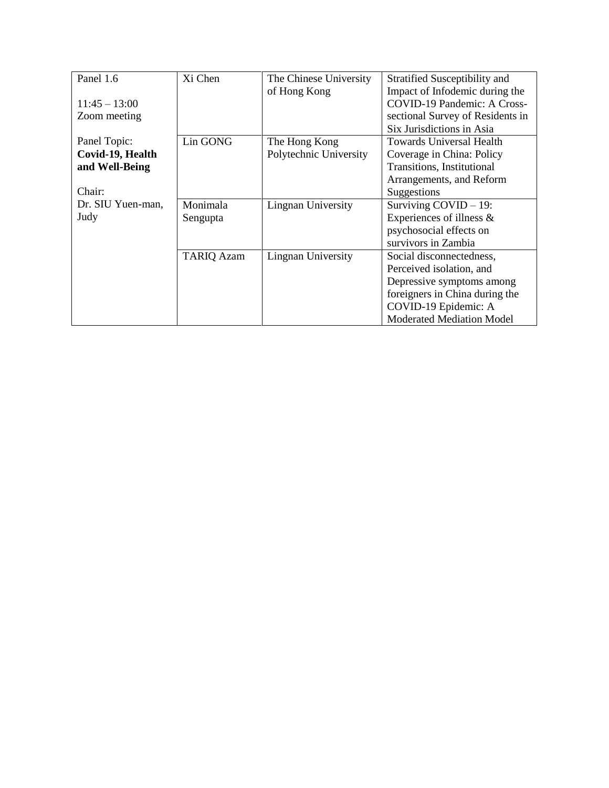| Panel 1.6         | Xi Chen           | The Chinese University | Stratified Susceptibility and    |
|-------------------|-------------------|------------------------|----------------------------------|
|                   |                   | of Hong Kong           | Impact of Infodemic during the   |
| $11:45 - 13:00$   |                   |                        | COVID-19 Pandemic: A Cross-      |
| Zoom meeting      |                   |                        | sectional Survey of Residents in |
|                   |                   |                        | Six Jurisdictions in Asia        |
| Panel Topic:      | Lin GONG          | The Hong Kong          | <b>Towards Universal Health</b>  |
| Covid-19, Health  |                   | Polytechnic University | Coverage in China: Policy        |
| and Well-Being    |                   |                        | Transitions, Institutional       |
|                   |                   |                        | Arrangements, and Reform         |
| Chair:            |                   |                        | Suggestions                      |
| Dr. SIU Yuen-man, | Monimala          | Lingnan University     | Surviving $COVID - 19$ :         |
| Judy              | Sengupta          |                        | Experiences of illness &         |
|                   |                   |                        | psychosocial effects on          |
|                   |                   |                        | survivors in Zambia              |
|                   | <b>TARIQ Azam</b> | Lingnan University     | Social disconnectedness,         |
|                   |                   |                        | Perceived isolation, and         |
|                   |                   |                        | Depressive symptoms among        |
|                   |                   |                        | foreigners in China during the   |
|                   |                   |                        | COVID-19 Epidemic: A             |
|                   |                   |                        | Moderated Mediation Model        |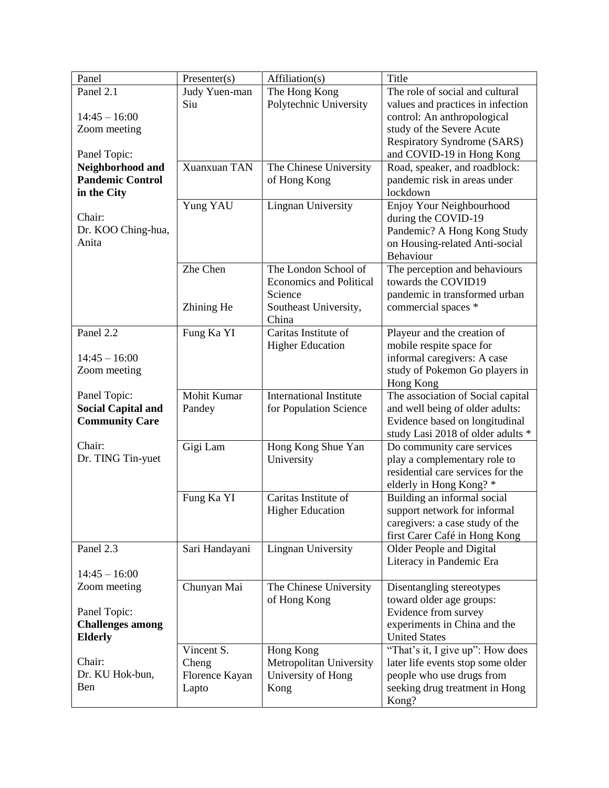| Panel                                  | Presenter(s)   | Affiliation(s)                 | Title                                                     |
|----------------------------------------|----------------|--------------------------------|-----------------------------------------------------------|
| Panel 2.1                              | Judy Yuen-man  | The Hong Kong                  | The role of social and cultural                           |
|                                        | Siu            | Polytechnic University         | values and practices in infection                         |
| $14:45 - 16:00$                        |                |                                | control: An anthropological                               |
| Zoom meeting                           |                |                                | study of the Severe Acute                                 |
|                                        |                |                                | Respiratory Syndrome (SARS)                               |
| Panel Topic:                           |                |                                | and COVID-19 in Hong Kong                                 |
| Neighborhood and                       | Xuanxuan TAN   | The Chinese University         | Road, speaker, and roadblock:                             |
| <b>Pandemic Control</b><br>in the City |                | of Hong Kong                   | pandemic risk in areas under<br>lockdown                  |
|                                        | Yung YAU       | <b>Lingnan University</b>      | Enjoy Your Neighbourhood                                  |
| Chair:                                 |                |                                | during the COVID-19                                       |
| Dr. KOO Ching-hua,                     |                |                                | Pandemic? A Hong Kong Study                               |
| Anita                                  |                |                                | on Housing-related Anti-social                            |
|                                        |                |                                | Behaviour                                                 |
|                                        | Zhe Chen       | The London School of           | The perception and behaviours                             |
|                                        |                | <b>Economics and Political</b> | towards the COVID19                                       |
|                                        |                | Science                        | pandemic in transformed urban                             |
|                                        | Zhining He     | Southeast University,          | commercial spaces *                                       |
|                                        |                | China                          |                                                           |
| Panel 2.2                              | Fung Ka YI     | Caritas Institute of           | Playeur and the creation of                               |
|                                        |                | <b>Higher Education</b>        | mobile respite space for                                  |
| $14:45 - 16:00$                        |                |                                | informal caregivers: A case                               |
| Zoom meeting                           |                |                                | study of Pokemon Go players in<br>Hong Kong               |
| Panel Topic:                           | Mohit Kumar    | <b>International Institute</b> | The association of Social capital                         |
| <b>Social Capital and</b>              | Pandey         | for Population Science         | and well being of older adults:                           |
| <b>Community Care</b>                  |                |                                | Evidence based on longitudinal                            |
|                                        |                |                                | study Lasi 2018 of older adults *                         |
| Chair:                                 | Gigi Lam       | Hong Kong Shue Yan             | Do community care services                                |
| Dr. TING Tin-yuet                      |                | University                     | play a complementary role to                              |
|                                        |                |                                | residential care services for the                         |
|                                        |                |                                | elderly in Hong Kong? *                                   |
|                                        | Fung Ka YI     | Caritas Institute of           | Building an informal social                               |
|                                        |                | <b>Higher Education</b>        | support network for informal                              |
|                                        |                |                                | caregivers: a case study of the                           |
| Panel 2.3                              |                | <b>Lingnan University</b>      | first Carer Café in Hong Kong<br>Older People and Digital |
|                                        | Sari Handayani |                                | Literacy in Pandemic Era                                  |
| $14:45 - 16:00$                        |                |                                |                                                           |
| Zoom meeting                           | Chunyan Mai    | The Chinese University         | Disentangling stereotypes                                 |
|                                        |                | of Hong Kong                   | toward older age groups:                                  |
| Panel Topic:                           |                |                                | Evidence from survey                                      |
| <b>Challenges among</b>                |                |                                | experiments in China and the                              |
| <b>Elderly</b>                         |                |                                | <b>United States</b>                                      |
|                                        | Vincent S.     | Hong Kong                      | "That's it, I give up": How does                          |
| Chair:                                 | Cheng          | Metropolitan University        | later life events stop some older                         |
| Dr. KU Hok-bun,                        | Florence Kayan | University of Hong             | people who use drugs from                                 |
| Ben                                    | Lapto          | Kong                           | seeking drug treatment in Hong                            |
|                                        |                |                                | Kong?                                                     |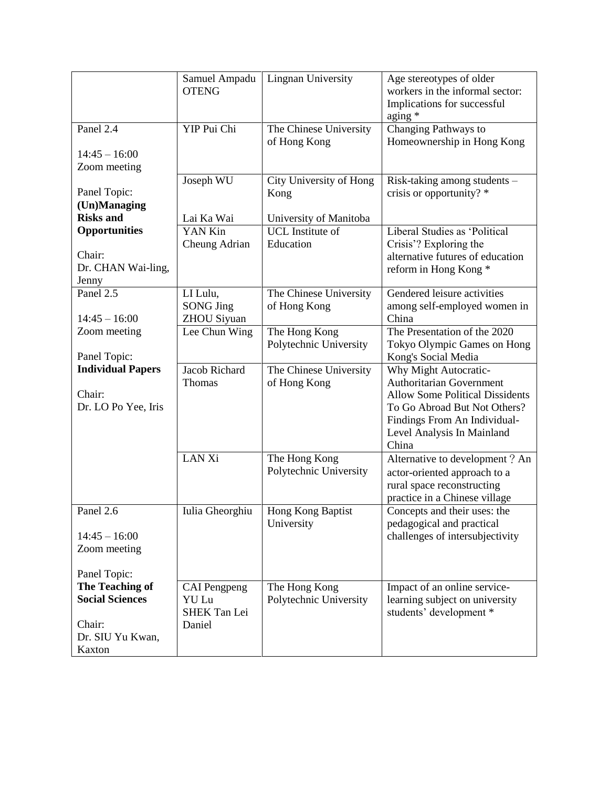|                                                                                                   | Samuel Ampadu<br><b>OTENG</b>                          | <b>Lingnan University</b>                                 | Age stereotypes of older<br>workers in the informal sector:<br>Implications for successful<br>aging *                                                                                              |
|---------------------------------------------------------------------------------------------------|--------------------------------------------------------|-----------------------------------------------------------|----------------------------------------------------------------------------------------------------------------------------------------------------------------------------------------------------|
| Panel 2.4<br>$14:45 - 16:00$<br>Zoom meeting                                                      | YIP Pui Chi                                            | The Chinese University<br>of Hong Kong                    | Changing Pathways to<br>Homeownership in Hong Kong                                                                                                                                                 |
| Panel Topic:<br>(Un)Managing<br><b>Risks and</b>                                                  | Joseph WU<br>Lai Ka Wai                                | City University of Hong<br>Kong<br>University of Manitoba | Risk-taking among students -<br>crisis or opportunity? *                                                                                                                                           |
| <b>Opportunities</b><br>Chair:<br>Dr. CHAN Wai-ling,<br>Jenny                                     | YAN Kin<br>Cheung Adrian                               | <b>UCL</b> Institute of<br>Education                      | Liberal Studies as 'Political<br>Crisis'? Exploring the<br>alternative futures of education<br>reform in Hong Kong*                                                                                |
| Panel 2.5<br>$14:45 - 16:00$                                                                      | LI Lulu,<br><b>SONG Jing</b><br>ZHOU Siyuan            | The Chinese University<br>of Hong Kong                    | Gendered leisure activities<br>among self-employed women in<br>China                                                                                                                               |
| Zoom meeting<br>Panel Topic:                                                                      | Lee Chun Wing                                          | The Hong Kong<br>Polytechnic University                   | The Presentation of the 2020<br>Tokyo Olympic Games on Hong<br>Kong's Social Media                                                                                                                 |
| <b>Individual Papers</b><br>Chair:<br>Dr. LO Po Yee, Iris                                         | Jacob Richard<br>Thomas                                | The Chinese University<br>of Hong Kong                    | Why Might Autocratic-<br>Authoritarian Government<br><b>Allow Some Political Dissidents</b><br>To Go Abroad But Not Others?<br>Findings From An Individual-<br>Level Analysis In Mainland<br>China |
|                                                                                                   | LAN Xi                                                 | The Hong Kong<br>Polytechnic University                   | Alternative to development? An<br>actor-oriented approach to a<br>rural space reconstructing<br>practice in a Chinese village                                                                      |
| Panel 2.6<br>$14:45 - 16:00$<br>Zoom meeting                                                      | Iulia Gheorghiu                                        | Hong Kong Baptist<br>University                           | Concepts and their uses: the<br>pedagogical and practical<br>challenges of intersubjectivity                                                                                                       |
| Panel Topic:<br>The Teaching of<br><b>Social Sciences</b><br>Chair:<br>Dr. SIU Yu Kwan,<br>Kaxton | <b>CAI</b> Pengpeng<br>YU Lu<br>SHEK Tan Lei<br>Daniel | The Hong Kong<br>Polytechnic University                   | Impact of an online service-<br>learning subject on university<br>students' development *                                                                                                          |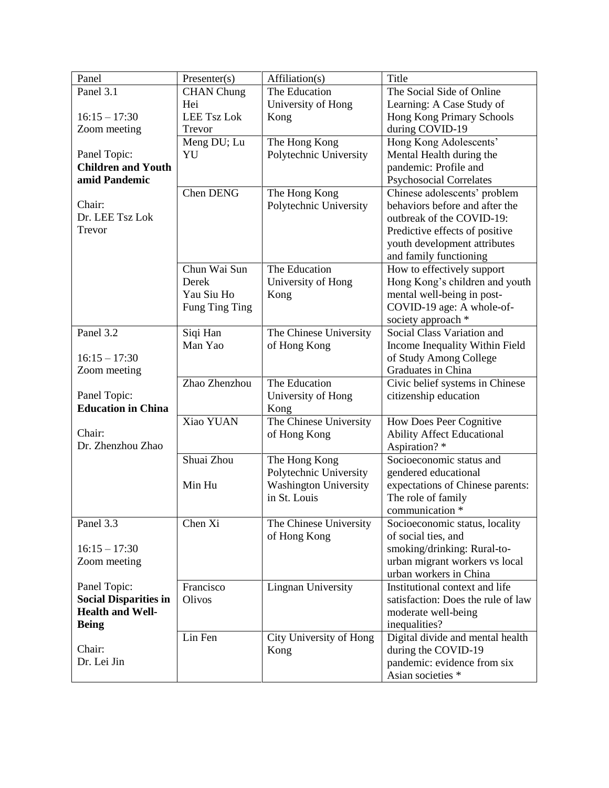| Panel                        | Presenter(s)       | Affiliation(s)               | Title                              |
|------------------------------|--------------------|------------------------------|------------------------------------|
| Panel 3.1                    | <b>CHAN</b> Chung  | The Education                | The Social Side of Online          |
|                              | Hei                | University of Hong           | Learning: A Case Study of          |
| $16:15 - 17:30$              | <b>LEE Tsz Lok</b> | Kong                         | Hong Kong Primary Schools          |
| Zoom meeting                 | Trevor             |                              | during COVID-19                    |
|                              | Meng DU; Lu        | The Hong Kong                | Hong Kong Adolescents'             |
| Panel Topic:                 | YU                 | Polytechnic University       | Mental Health during the           |
| <b>Children and Youth</b>    |                    |                              | pandemic: Profile and              |
| amid Pandemic                |                    |                              | <b>Psychosocial Correlates</b>     |
|                              | Chen DENG          | The Hong Kong                | Chinese adolescents' problem       |
| Chair:                       |                    | Polytechnic University       | behaviors before and after the     |
| Dr. LEE Tsz Lok              |                    |                              | outbreak of the COVID-19:          |
| Trevor                       |                    |                              | Predictive effects of positive     |
|                              |                    |                              | youth development attributes       |
|                              |                    |                              | and family functioning             |
|                              | Chun Wai Sun       | The Education                | How to effectively support         |
|                              | Derek              | University of Hong           | Hong Kong's children and youth     |
|                              | Yau Siu Ho         | Kong                         | mental well-being in post-         |
|                              | Fung Ting Ting     |                              | COVID-19 age: A whole-of-          |
|                              |                    |                              | society approach *                 |
| Panel 3.2                    | Siqi Han           | The Chinese University       | Social Class Variation and         |
|                              | Man Yao            | of Hong Kong                 | Income Inequality Within Field     |
| $16:15 - 17:30$              |                    |                              | of Study Among College             |
| Zoom meeting                 |                    |                              | Graduates in China                 |
|                              | Zhao Zhenzhou      | The Education                | Civic belief systems in Chinese    |
| Panel Topic:                 |                    | University of Hong           | citizenship education              |
| <b>Education in China</b>    |                    | Kong                         |                                    |
|                              | Xiao YUAN          | The Chinese University       | How Does Peer Cognitive            |
| Chair:                       |                    | of Hong Kong                 | <b>Ability Affect Educational</b>  |
| Dr. Zhenzhou Zhao            |                    |                              | Aspiration?*                       |
|                              | Shuai Zhou         | The Hong Kong                | Socioeconomic status and           |
|                              |                    | Polytechnic University       | gendered educational               |
|                              | Min Hu             | <b>Washington University</b> | expectations of Chinese parents:   |
|                              |                    | in St. Louis                 | The role of family                 |
|                              |                    |                              | communication *                    |
| Panel 3.3                    | Chen Xi            | The Chinese University       | Socioeconomic status, locality     |
|                              |                    | of Hong Kong                 | of social ties, and                |
| $16:15 - 17:30$              |                    |                              | smoking/drinking: Rural-to-        |
| Zoom meeting                 |                    |                              | urban migrant workers vs local     |
|                              |                    |                              | urban workers in China             |
| Panel Topic:                 | Francisco          | Lingnan University           | Institutional context and life     |
| <b>Social Disparities in</b> | Olivos             |                              | satisfaction: Does the rule of law |
| <b>Health and Well-</b>      |                    |                              | moderate well-being                |
| <b>Being</b>                 |                    |                              | inequalities?                      |
|                              | Lin Fen            | City University of Hong      | Digital divide and mental health   |
| Chair:                       |                    | Kong                         | during the COVID-19                |
| Dr. Lei Jin                  |                    |                              | pandemic: evidence from six        |
|                              |                    |                              | Asian societies *                  |